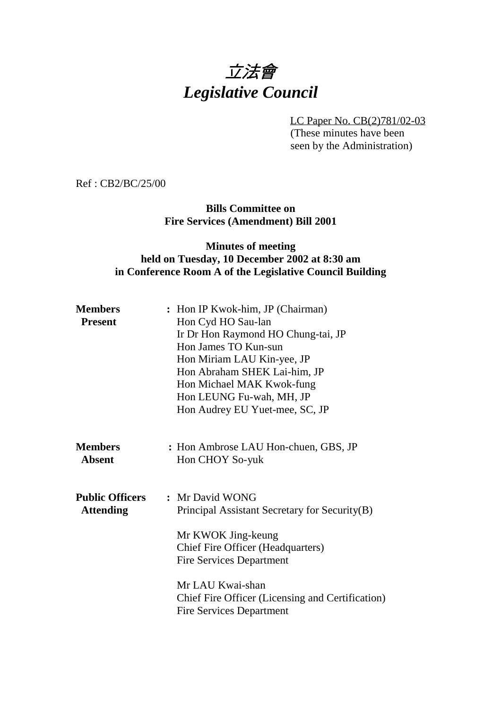# 立法會 *Legislative Council*

LC Paper No. CB(2)781/02-03 (These minutes have been

seen by the Administration)

Ref : CB2/BC/25/00

**Bills Committee on Fire Services (Amendment) Bill 2001**

## **Minutes of meeting held on Tuesday, 10 December 2002 at 8:30 am in Conference Room A of the Legislative Council Building**

| <b>Members</b><br><b>Present</b>           | : Hon IP Kwok-him, JP (Chairman)<br>Hon Cyd HO Sau-lan<br>Ir Dr Hon Raymond HO Chung-tai, JP<br>Hon James TO Kun-sun<br>Hon Miriam LAU Kin-yee, JP<br>Hon Abraham SHEK Lai-him, JP<br>Hon Michael MAK Kwok-fung<br>Hon LEUNG Fu-wah, MH, JP<br>Hon Audrey EU Yuet-mee, SC, JP |
|--------------------------------------------|-------------------------------------------------------------------------------------------------------------------------------------------------------------------------------------------------------------------------------------------------------------------------------|
| <b>Members</b><br><b>Absent</b>            | : Hon Ambrose LAU Hon-chuen, GBS, JP<br>Hon CHOY So-yuk                                                                                                                                                                                                                       |
| <b>Public Officers</b><br><b>Attending</b> | : Mr David WONG<br>Principal Assistant Secretary for Security(B)<br>Mr KWOK Jing-keung<br><b>Chief Fire Officer (Headquarters)</b><br><b>Fire Services Department</b>                                                                                                         |
|                                            | Mr LAU Kwai-shan<br><b>Chief Fire Officer (Licensing and Certification)</b><br><b>Fire Services Department</b>                                                                                                                                                                |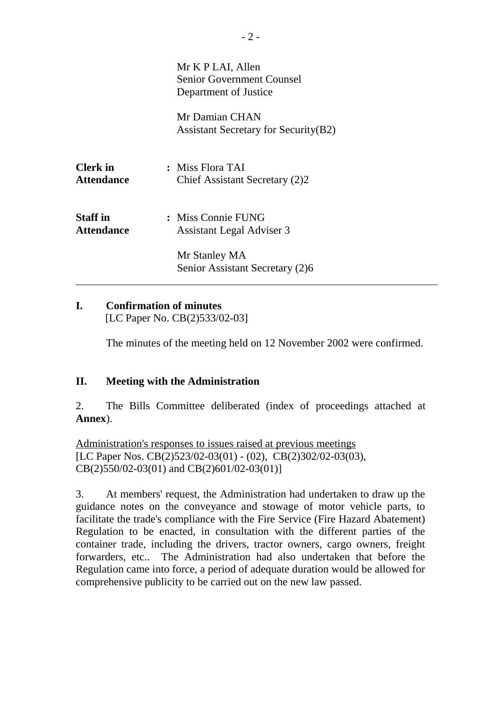|                                      | Mr K P LAI, Allen<br>Senior Government Counsel<br>Department of Justice |
|--------------------------------------|-------------------------------------------------------------------------|
|                                      | Mr Damian CHAN<br><b>Assistant Secretary for Security (B2)</b>          |
| <b>Clerk</b> in<br><b>Attendance</b> | : Miss Flora TAI<br>Chief Assistant Secretary (2)2                      |
| <b>Staff</b> in<br><b>Attendance</b> | : Miss Connie FUNG<br><b>Assistant Legal Adviser 3</b>                  |
|                                      | Mr Stanley MA<br>Senior Assistant Secretary (2)6                        |

#### **I. Confirmation of minutes** [LC Paper No. CB(2)533/02-03]

The minutes of the meeting held on 12 November 2002 were confirmed.

### **II. Meeting with the Administration**

2. The Bills Committee deliberated (index of proceedings attached at **Annex**).

Administration's responses to issues raised at previous meetings [LC Paper Nos. CB(2)523/02-03(01) - (02), CB(2)302/02-03(03), CB(2)550/02-03(01) and CB(2)601/02-03(01)]

3. At members' request, the Administration had undertaken to draw up the guidance notes on the conveyance and stowage of motor vehicle parts, to facilitate the trade's compliance with the Fire Service (Fire Hazard Abatement) Regulation to be enacted, in consultation with the different parties of the container trade, including the drivers, tractor owners, cargo owners, freight forwarders, etc.. The Administration had also undertaken that before the Regulation came into force, a period of adequate duration would be allowed for comprehensive publicity to be carried out on the new law passed.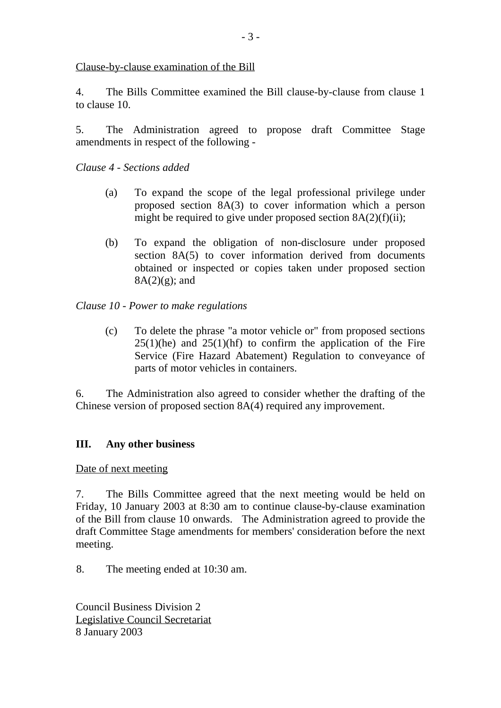Clause-by-clause examination of the Bill

4. The Bills Committee examined the Bill clause-by-clause from clause 1 to clause 10.

5. The Administration agreed to propose draft Committee Stage amendments in respect of the following -

*Clause 4 - Sections added*

- (a) To expand the scope of the legal professional privilege under proposed section 8A(3) to cover information which a person might be required to give under proposed section  $8A(2)(f)(ii)$ ;
- (b) To expand the obligation of non-disclosure under proposed section 8A(5) to cover information derived from documents obtained or inspected or copies taken under proposed section  $8A(2)(g)$ ; and

*Clause 10 - Power to make regulations*

(c) To delete the phrase "a motor vehicle or" from proposed sections  $25(1)(he)$  and  $25(1)(hf)$  to confirm the application of the Fire Service (Fire Hazard Abatement) Regulation to conveyance of parts of motor vehicles in containers.

6. The Administration also agreed to consider whether the drafting of the Chinese version of proposed section 8A(4) required any improvement.

### **III. Any other business**

Date of next meeting

7. The Bills Committee agreed that the next meeting would be held on Friday, 10 January 2003 at 8:30 am to continue clause-by-clause examination of the Bill from clause 10 onwards. The Administration agreed to provide the draft Committee Stage amendments for members' consideration before the next meeting.

8. The meeting ended at 10:30 am.

Council Business Division 2 Legislative Council Secretariat 8 January 2003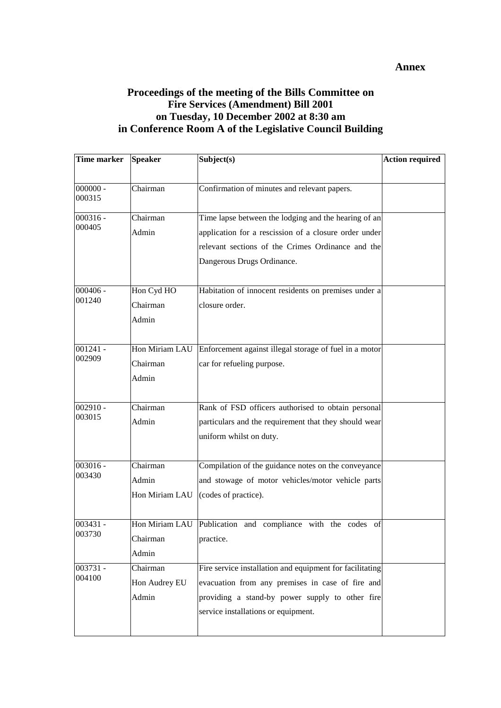#### **Annex**

### **Proceedings of the meeting of the Bills Committee on Fire Services (Amendment) Bill 2001 on Tuesday, 10 December 2002 at 8:30 am in Conference Room A of the Legislative Council Building**

| <b>Time marker</b> | <b>Speaker</b> | Subject(s)                                                  | <b>Action required</b> |
|--------------------|----------------|-------------------------------------------------------------|------------------------|
|                    |                |                                                             |                        |
| $000000 -$         | Chairman       | Confirmation of minutes and relevant papers.                |                        |
| 000315             |                |                                                             |                        |
| $000316 -$         | Chairman       | Time lapse between the lodging and the hearing of an        |                        |
| 000405             | Admin          | application for a rescission of a closure order under       |                        |
|                    |                | relevant sections of the Crimes Ordinance and the           |                        |
|                    |                | Dangerous Drugs Ordinance.                                  |                        |
|                    |                |                                                             |                        |
| $000406 -$         | Hon Cyd HO     | Habitation of innocent residents on premises under a        |                        |
| 001240             | Chairman       | closure order.                                              |                        |
|                    | Admin          |                                                             |                        |
|                    |                |                                                             |                        |
| $001241 -$         | Hon Miriam LAU | Enforcement against illegal storage of fuel in a motor      |                        |
| 002909             | Chairman       | car for refueling purpose.                                  |                        |
|                    | Admin          |                                                             |                        |
|                    |                |                                                             |                        |
| $002910 -$         | Chairman       | Rank of FSD officers authorised to obtain personal          |                        |
| 003015             | Admin          | particulars and the requirement that they should wear       |                        |
|                    |                | uniform whilst on duty.                                     |                        |
|                    |                |                                                             |                        |
| $003016 -$         | Chairman       | Compilation of the guidance notes on the conveyance         |                        |
| 003430             | Admin          | and stowage of motor vehicles/motor vehicle parts           |                        |
|                    | Hon Miriam LAU | (codes of practice).                                        |                        |
|                    |                |                                                             |                        |
| 003431 -           |                | Hon Miriam LAU Publication and compliance with the codes of |                        |
| 003730             | Chairman       | practice.                                                   |                        |
|                    | Admin          |                                                             |                        |
| 003731 -<br>004100 | Chairman       | Fire service installation and equipment for facilitating    |                        |
|                    | Hon Audrey EU  | evacuation from any premises in case of fire and            |                        |
|                    | Admin          | providing a stand-by power supply to other fire             |                        |
|                    |                | service installations or equipment.                         |                        |
|                    |                |                                                             |                        |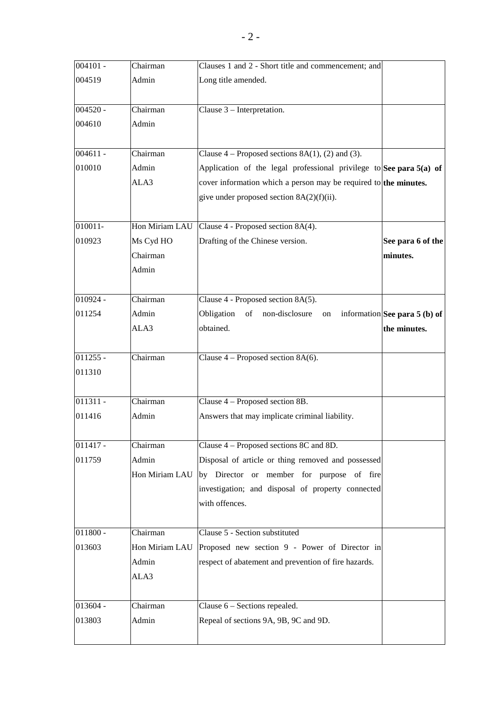| $004101 -$ | Chairman       | Clauses 1 and 2 - Short title and commencement; and                   |                                 |
|------------|----------------|-----------------------------------------------------------------------|---------------------------------|
| 004519     | Admin          | Long title amended.                                                   |                                 |
|            |                |                                                                       |                                 |
| $004520 -$ | Chairman       | Clause 3 - Interpretation.                                            |                                 |
| 004610     | Admin          |                                                                       |                                 |
|            |                |                                                                       |                                 |
| $004611 -$ | Chairman       | Clause $4$ – Proposed sections 8A(1), (2) and (3).                    |                                 |
| 010010     | Admin          | Application of the legal professional privilege to See para $5(a)$ of |                                 |
|            | ALA3           | cover information which a person may be required to the minutes.      |                                 |
|            |                | give under proposed section 8A(2)(f)(ii).                             |                                 |
|            |                |                                                                       |                                 |
| $010011 -$ | Hon Miriam LAU | Clause 4 - Proposed section 8A(4).                                    |                                 |
| 010923     | Ms Cyd HO      | Drafting of the Chinese version.                                      | See para 6 of the               |
|            | Chairman       |                                                                       | minutes.                        |
|            | Admin          |                                                                       |                                 |
|            |                |                                                                       |                                 |
| $010924 -$ | Chairman       | Clause 4 - Proposed section 8A(5).                                    |                                 |
| 011254     | Admin          | Obligation<br>non-disclosure<br>of<br>on                              | information See para $5$ (b) of |
|            | ALA3           | obtained.                                                             | the minutes.                    |
|            |                |                                                                       |                                 |
| $011255 -$ | Chairman       | Clause $4$ – Proposed section 8A(6).                                  |                                 |
| 011310     |                |                                                                       |                                 |
|            |                |                                                                       |                                 |
| $011311 -$ | Chairman       | Clause 4 – Proposed section 8B.                                       |                                 |
| 011416     | Admin          | Answers that may implicate criminal liability.                        |                                 |
|            |                |                                                                       |                                 |
| $011417 -$ | Chairman       | Clause 4 – Proposed sections 8C and 8D.                               |                                 |
| 011759     | Admin          | Disposal of article or thing removed and possessed                    |                                 |
|            | Hon Miriam LAU | by Director or member for purpose of fire                             |                                 |
|            |                | investigation; and disposal of property connected                     |                                 |
|            |                | with offences.                                                        |                                 |
|            |                |                                                                       |                                 |
| $011800 -$ | Chairman       | Clause 5 - Section substituted                                        |                                 |
| 013603     | Hon Miriam LAU | Proposed new section 9 - Power of Director in                         |                                 |
|            | Admin          | respect of abatement and prevention of fire hazards.                  |                                 |
|            | ALA3           |                                                                       |                                 |
|            |                |                                                                       |                                 |
| 013604 -   | Chairman       | Clause $6$ – Sections repealed.                                       |                                 |
| 013803     | Admin          | Repeal of sections 9A, 9B, 9C and 9D.                                 |                                 |
|            |                |                                                                       |                                 |
|            |                |                                                                       |                                 |